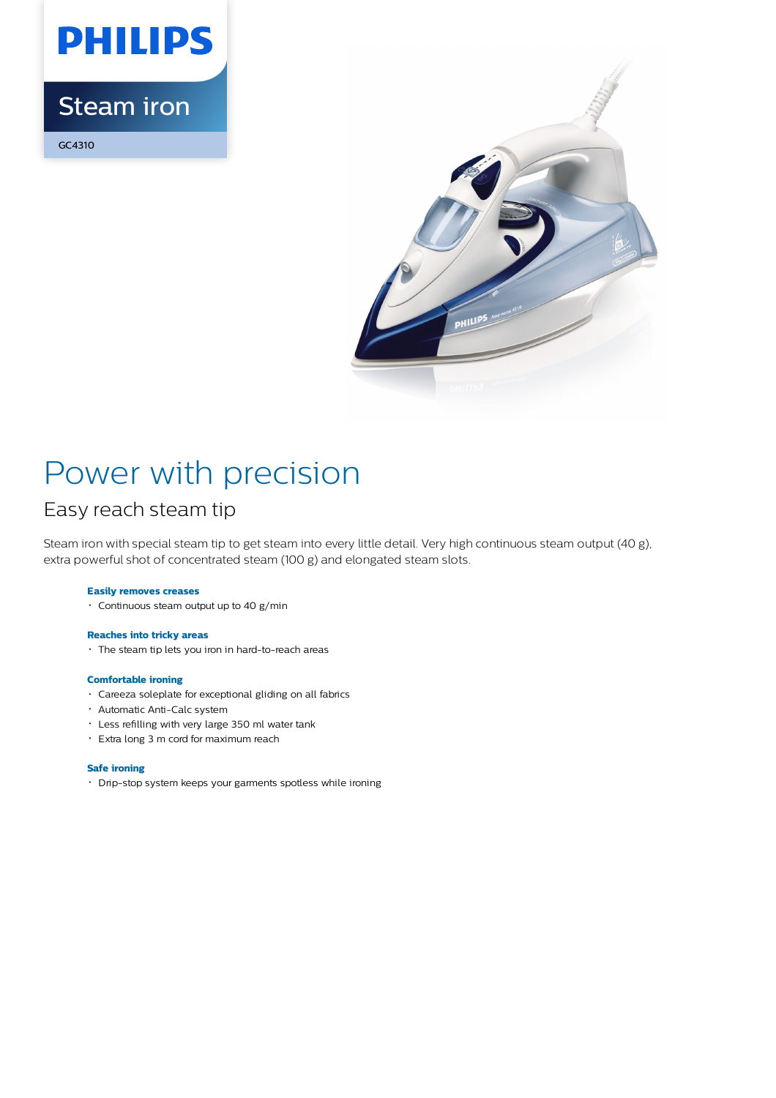

## Steam iron

GC4310



# Power with precision

### Easy reach steam tip

Steam iron with special steam tip to get steam into every little detail. Very high continuous steam output (40 g), extra powerful shot of concentrated steam (100 g) and elongated steam slots.

#### **Easily removes creases**

Continuous steam output up to 40 g/min

### **Reaches into tricky areas**

The steam tip lets you iron in hard-to-reach areas

#### **Comfortable ironing**

- Careeza soleplate for exceptional gliding on all fabrics
- Automatic Anti-Calc system
- Less refilling with very large 350 ml water tank
- Extra long 3 m cord for maximum reach

#### **Safe ironing**

Drip-stop system keeps your garments spotless while ironing